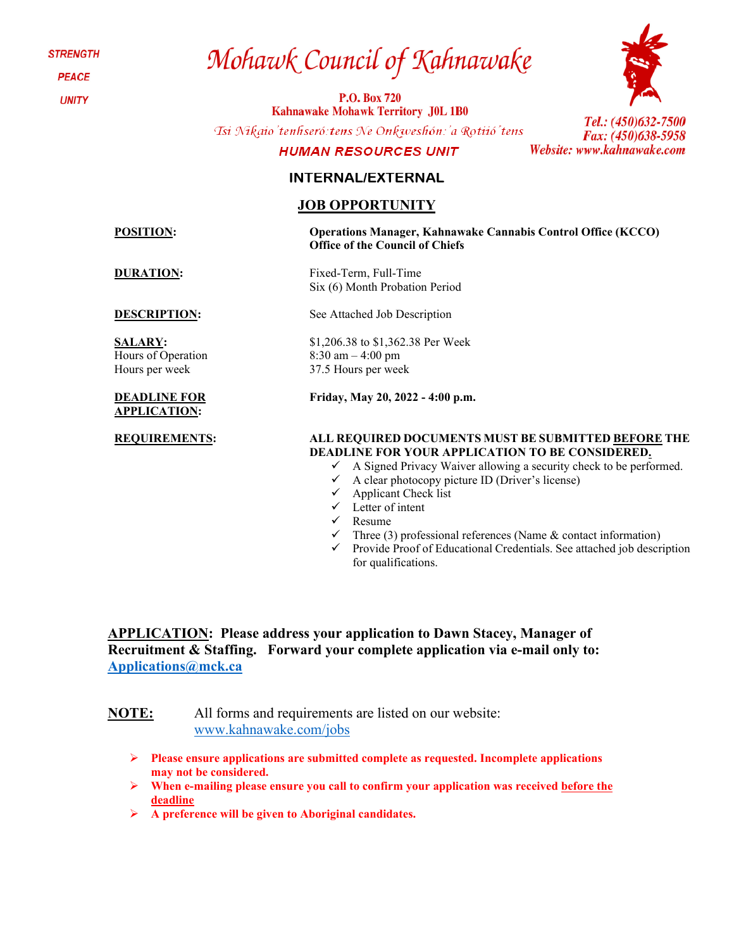**STRENGTH** 

**PEACE** 

**UNITY** 

# Mohawk Council of Kahnawake

**P.O. Box 720 Kahnawake Mohawk Territory J0L 1B0** 

Tsi Nikaio'tenhseró: tens Ne Onkweshón: 'a Rotiió' tens

## **HUMAN RESOURCES UNIT**

Tel.: (450)632-7500 Fax: (450)638-5958 Website: www.kahnawake.com

# **INTERNAL/EXTERNAL**

## **JOB OPPORTUNITY**

**SALARY:**  Hours of Operation Hours per week

#### **DEADLINE FOR APPLICATION:**

#### **POSITION: Operations Manager, Kahnawake Cannabis Control Office (KCCO) Office of the Council of Chiefs**

**DURATION:** Fixed-Term, Full-Time Six (6) Month Probation Period

**DESCRIPTION:** See Attached Job Description

\$1,206.38 to \$1,362.38 Per Week 8:30 am – 4:00 pm 37.5 Hours per week

**Friday, May 20, 2022 - 4:00 p.m.**

#### **REQUIREMENTS: ALL REQUIRED DOCUMENTS MUST BE SUBMITTED BEFORE THE DEADLINE FOR YOUR APPLICATION TO BE CONSIDERED.**

- $\checkmark$  A Signed Privacy Waiver allowing a security check to be performed.
- $\checkmark$  A clear photocopy picture ID (Driver's license)
- $\checkmark$  Applicant Check list
- $\checkmark$  Letter of intent
- $\checkmark$  Resume
- Three (3) professional references (Name & contact information)
- $\checkmark$  Provide Proof of Educational Credentials. See attached job description for qualifications.

**APPLICATION: Please address your application to Dawn Stacey, Manager of Recruitment & Staffing. Forward your complete application via e-mail only to: [Applications@mck.ca](mailto:Applications@mck.ca)**

**NOTE:** All forms and requirements are listed on our website: [www.kahnawake.com/jobs](http://www.kahnawake.com/jobs)

- **Please ensure applications are submitted complete as requested. Incomplete applications may not be considered.**
- **When e-mailing please ensure you call to confirm your application was received before the deadline**
- **A preference will be given to Aboriginal candidates.**

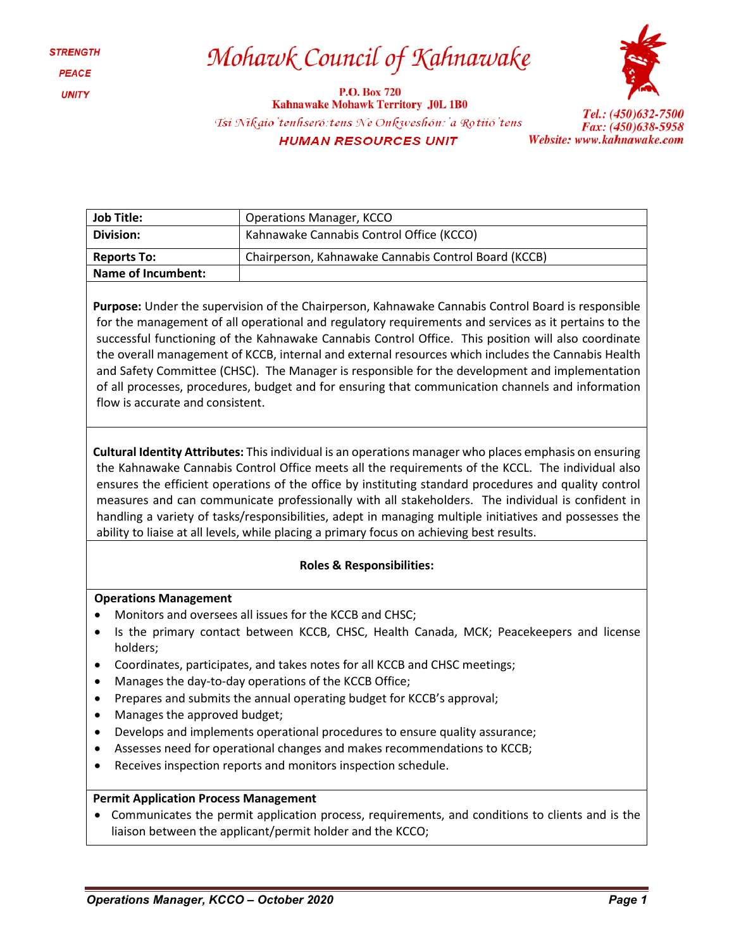# Mohawk Council of Kahnawake

**P.O. Box 720 Kahnawake Mohawk Territory J0L 1B0** Tsi Nikaio'tenhseró: tens Ne Onkweshón: 'a Rotiió' tens **HUMAN RESOURCES UNIT** 



Tel.: (450)632-7500 Fax: (450)638-5958 Website: www.kahnawake.com

| Job Title:         | <b>Operations Manager, KCCO</b>                      |  |
|--------------------|------------------------------------------------------|--|
| Division:          | Kahnawake Cannabis Control Office (KCCO)             |  |
| <b>Reports To:</b> | Chairperson, Kahnawake Cannabis Control Board (KCCB) |  |
| Name of Incumbent: |                                                      |  |

**Purpose:** Under the supervision of the Chairperson, Kahnawake Cannabis Control Board is responsible for the management of all operational and regulatory requirements and services as it pertains to the successful functioning of the Kahnawake Cannabis Control Office. This position will also coordinate the overall management of KCCB, internal and external resources which includes the Cannabis Health and Safety Committee (CHSC). The Manager is responsible for the development and implementation of all processes, procedures, budget and for ensuring that communication channels and information flow is accurate and consistent.

**Cultural Identity Attributes:** This individual is an operations manager who places emphasis on ensuring the Kahnawake Cannabis Control Office meets all the requirements of the KCCL. The individual also ensures the efficient operations of the office by instituting standard procedures and quality control measures and can communicate professionally with all stakeholders. The individual is confident in handling a variety of tasks/responsibilities, adept in managing multiple initiatives and possesses the ability to liaise at all levels, while placing a primary focus on achieving best results.

### **Roles & Responsibilities:**

### **Operations Management**

- Monitors and oversees all issues for the KCCB and CHSC;
- Is the primary contact between KCCB, CHSC, Health Canada, MCK; Peacekeepers and license holders;
- Coordinates, participates, and takes notes for all KCCB and CHSC meetings;
- Manages the day-to-day operations of the KCCB Office;
- Prepares and submits the annual operating budget for KCCB's approval;
- Manages the approved budget;
- Develops and implements operational procedures to ensure quality assurance;
- Assesses need for operational changes and makes recommendations to KCCB;
- Receives inspection reports and monitors inspection schedule.

### **Permit Application Process Management**

• Communicates the permit application process, requirements, and conditions to clients and is the liaison between the applicant/permit holder and the KCCO;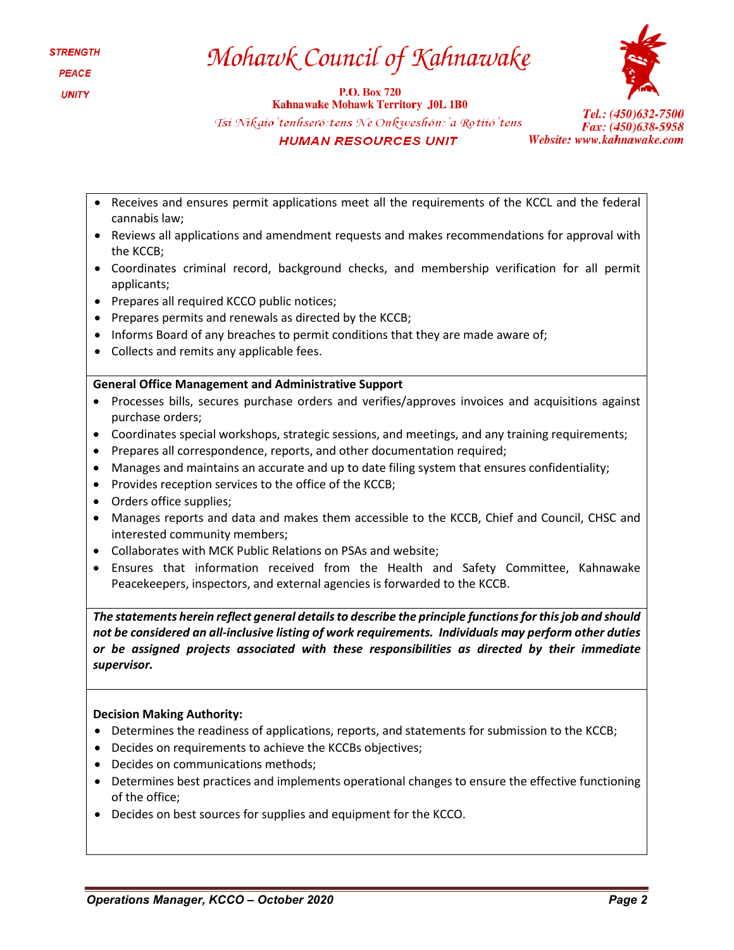# Mohawk Council of Kahnawake

**P.O. Box 720** 



**Kahnawake Mohawk Territory J0L 1B0** Tsi Nikaio'tenhseró: tens Ne Onkweshón: 'a Rotiió'tens **HUMAN RESOURCES UNIT** 

Tel.: (450)632-7500 Fax: (450)638-5958 Website: www.kahnawake.com

- Receives and ensures permit applications meet all the requirements of the KCCL and the federal cannabis law;
- Reviews all applications and amendment requests and makes recommendations for approval with the KCCB;
- Coordinates criminal record, background checks, and membership verification for all permit applicants;
- Prepares all required KCCO public notices;
- Prepares permits and renewals as directed by the KCCB;
- Informs Board of any breaches to permit conditions that they are made aware of;
- Collects and remits any applicable fees.

# **General Office Management and Administrative Support**

- Processes bills, secures purchase orders and verifies/approves invoices and acquisitions against purchase orders;
- Coordinates special workshops, strategic sessions, and meetings, and any training requirements;
- Prepares all correspondence, reports, and other documentation required;
- Manages and maintains an accurate and up to date filing system that ensures confidentiality;
- Provides reception services to the office of the KCCB;
- Orders office supplies;
- Manages reports and data and makes them accessible to the KCCB, Chief and Council, CHSC and interested community members;
- Collaborates with MCK Public Relations on PSAs and website;
- Ensures that information received from the Health and Safety Committee, Kahnawake Peacekeepers, inspectors, and external agencies is forwarded to the KCCB.

*The statements herein reflect general details to describe the principle functions for this job and should not be considered an all-inclusive listing of work requirements. Individuals may perform other duties or be assigned projects associated with these responsibilities as directed by their immediate supervisor.*

### **Decision Making Authority:**

- Determines the readiness of applications, reports, and statements for submission to the KCCB;
- Decides on requirements to achieve the KCCBs objectives;
- Decides on communications methods;
- Determines best practices and implements operational changes to ensure the effective functioning of the office;
- Decides on best sources for supplies and equipment for the KCCO.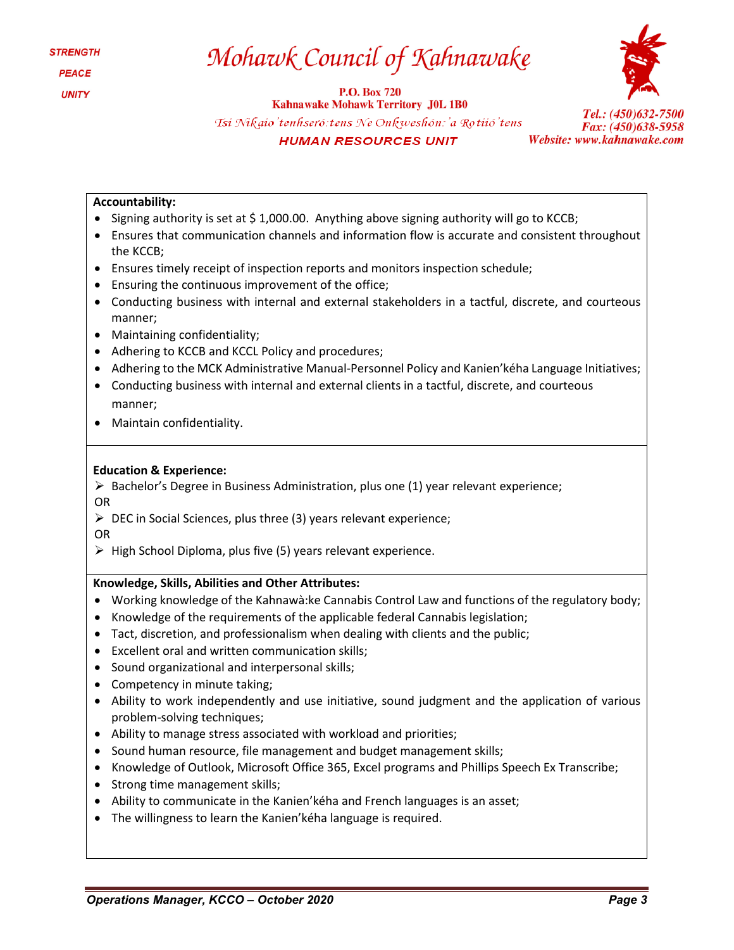# Mohawk Council of Kahnawake

**P.O. Box 720** 



**Kahnawake Mohawk Territory J0L 1B0** Tsi Nikaio'tenhseró: tens Ne Onkweshón: 'a Rotiió' tens **HUMAN RESOURCES UNIT** 



## **Accountability:**

- Signing authority is set at  $\frac{2}{3}$  1,000.00. Anything above signing authority will go to KCCB;
- Ensures that communication channels and information flow is accurate and consistent throughout the KCCB;
- Ensures timely receipt of inspection reports and monitors inspection schedule;
- Ensuring the continuous improvement of the office;
- Conducting business with internal and external stakeholders in a tactful, discrete, and courteous manner;
- Maintaining confidentiality;
- Adhering to KCCB and KCCL Policy and procedures;
- Adhering to the MCK Administrative Manual-Personnel Policy and Kanien'kéha Language Initiatives;
- Conducting business with internal and external clients in a tactful, discrete, and courteous manner;
- Maintain confidentiality.

### **Education & Experience:**

 $\triangleright$  Bachelor's Degree in Business Administration, plus one (1) year relevant experience; OR

 $\triangleright$  DEC in Social Sciences, plus three (3) years relevant experience;

OR

 $\triangleright$  High School Diploma, plus five (5) years relevant experience.

### **Knowledge, Skills, Abilities and Other Attributes:**

- Working knowledge of the Kahnawà:ke Cannabis Control Law and functions of the regulatory body;
- Knowledge of the requirements of the applicable federal Cannabis legislation;
- Tact, discretion, and professionalism when dealing with clients and the public;
- Excellent oral and written communication skills;
- Sound organizational and interpersonal skills;
- Competency in minute taking;
- Ability to work independently and use initiative, sound judgment and the application of various problem-solving techniques;
- Ability to manage stress associated with workload and priorities;
- Sound human resource, file management and budget management skills;
- Knowledge of Outlook, Microsoft Office 365, Excel programs and Phillips Speech Ex Transcribe;
- Strong time management skills;
- Ability to communicate in the Kanien'kéha and French languages is an asset;
- The willingness to learn the Kanien'kéha language is required.